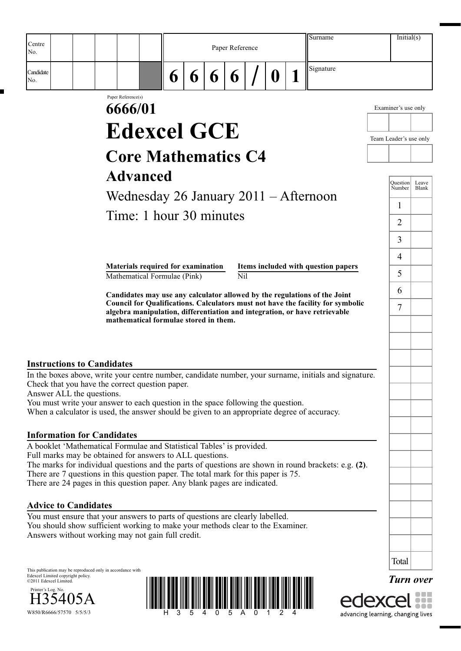| Centre                            |                                                                                                                                                                  |   |   |   | Paper Reference  |   | Surname                                                                         | Initial(s)             |                |
|-----------------------------------|------------------------------------------------------------------------------------------------------------------------------------------------------------------|---|---|---|------------------|---|---------------------------------------------------------------------------------|------------------------|----------------|
| No.                               |                                                                                                                                                                  |   |   |   |                  |   |                                                                                 |                        |                |
| Candidate<br>No.                  |                                                                                                                                                                  | 6 | 6 | 6 | 6                | O | Signature                                                                       |                        |                |
|                                   | Paper Reference(s)<br>6666/01                                                                                                                                    |   |   |   |                  |   |                                                                                 | Examiner's use only    |                |
|                                   |                                                                                                                                                                  |   |   |   |                  |   |                                                                                 |                        |                |
|                                   | <b>Edexcel GCE</b>                                                                                                                                               |   |   |   |                  |   |                                                                                 | Team Leader's use only |                |
|                                   | <b>Core Mathematics C4</b>                                                                                                                                       |   |   |   |                  |   |                                                                                 |                        |                |
|                                   |                                                                                                                                                                  |   |   |   |                  |   |                                                                                 |                        |                |
|                                   | <b>Advanced</b>                                                                                                                                                  |   |   |   |                  |   |                                                                                 | Ouestion<br>Number     | Leave<br>Blank |
|                                   | Wednesday 26 January $2011 -$ Afternoon                                                                                                                          |   |   |   |                  |   |                                                                                 | 1                      |                |
|                                   | Time: 1 hour 30 minutes                                                                                                                                          |   |   |   |                  |   |                                                                                 | $\overline{2}$         |                |
|                                   |                                                                                                                                                                  |   |   |   |                  |   |                                                                                 |                        |                |
|                                   |                                                                                                                                                                  |   |   |   |                  |   |                                                                                 | 3                      |                |
|                                   | Materials required for examination<br>Mathematical Formulae (Pink)                                                                                               |   |   |   | $\overline{Nil}$ |   | Items included with question papers                                             | $\overline{4}$<br>5    |                |
|                                   | Candidates may use any calculator allowed by the regulations of the Joint                                                                                        |   |   |   |                  |   |                                                                                 | 6                      |                |
|                                   | algebra manipulation, differentiation and integration, or have retrievable                                                                                       |   |   |   |                  |   | Council for Qualifications. Calculators must not have the facility for symbolic | $\overline{7}$         |                |
|                                   | mathematical formulae stored in them.                                                                                                                            |   |   |   |                  |   |                                                                                 |                        |                |
|                                   |                                                                                                                                                                  |   |   |   |                  |   |                                                                                 |                        |                |
| <b>Instructions to Candidates</b> |                                                                                                                                                                  |   |   |   |                  |   |                                                                                 |                        |                |
|                                   | In the boxes above, write your centre number, candidate number, your surname, initials and signature.<br>Check that you have the correct question paper.         |   |   |   |                  |   |                                                                                 |                        |                |
| Answer ALL the questions.         | You must write your answer to each question in the space following the question.                                                                                 |   |   |   |                  |   |                                                                                 |                        |                |
|                                   | When a calculator is used, the answer should be given to an appropriate degree of accuracy.                                                                      |   |   |   |                  |   |                                                                                 |                        |                |
| <b>Information for Candidates</b> |                                                                                                                                                                  |   |   |   |                  |   |                                                                                 |                        |                |
|                                   | A booklet 'Mathematical Formulae and Statistical Tables' is provided.                                                                                            |   |   |   |                  |   |                                                                                 |                        |                |
|                                   | Full marks may be obtained for answers to ALL questions.<br>The marks for individual questions and the parts of questions are shown in round brackets: e.g. (2). |   |   |   |                  |   |                                                                                 |                        |                |

There are 7 questions in this question paper. The total mark for this paper is 75. There are 24 pages in this question paper. Any blank pages are indicated.

## **Advice to Candidates**

You must ensure that your answers to parts of questions are clearly labelled. You should show sufficient working to make your methods clear to the Examiner. Answers without working may not gain full credit.

This publication may be reproduced only in accordance with Edexcel Limited copyright policy. ©2011 Edexcel Limited.







*Turn over*

Total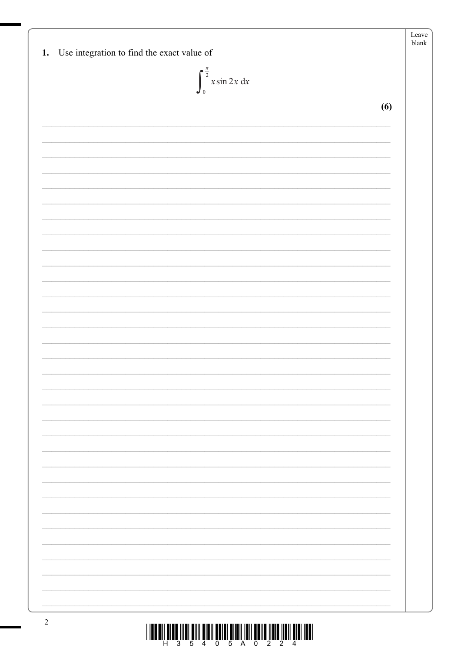| $\int_{0}^{\frac{\pi}{2}} x \sin 2x \, dx$ |     |
|--------------------------------------------|-----|
|                                            | (6) |
|                                            |     |
|                                            |     |
|                                            |     |
|                                            |     |
|                                            |     |
|                                            |     |
|                                            |     |
|                                            |     |
|                                            |     |
|                                            |     |
|                                            |     |
|                                            |     |
|                                            |     |
|                                            |     |
|                                            |     |
|                                            |     |
|                                            |     |
|                                            |     |
|                                            |     |
|                                            |     |
|                                            |     |
|                                            |     |
|                                            |     |
|                                            |     |

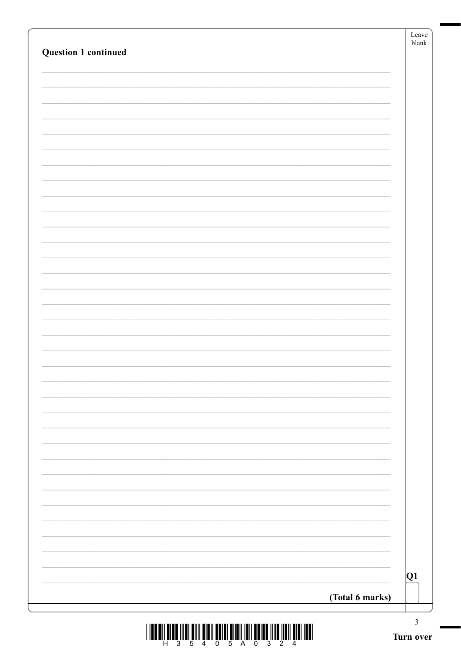| <b>Question 1 continued</b> | Leave<br>${\tt blank}$ |
|-----------------------------|------------------------|
|                             |                        |
|                             |                        |
|                             |                        |
|                             |                        |
|                             |                        |
|                             |                        |
|                             |                        |
|                             |                        |
|                             |                        |
|                             |                        |
|                             |                        |
|                             |                        |
|                             |                        |
|                             |                        |
|                             |                        |
|                             |                        |
|                             |                        |
|                             |                        |
|                             |                        |
|                             |                        |
|                             |                        |
|                             |                        |
|                             |                        |
|                             |                        |
|                             |                        |
|                             |                        |
|                             |                        |
|                             |                        |
|                             | Q1                     |
| (Total 6 marks)             |                        |
|                             | $\mathfrak{Z}$         |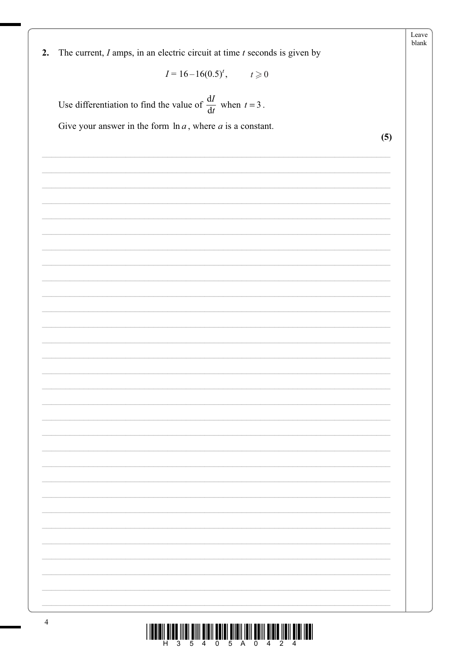|                                                                                     | Leave<br>blank |
|-------------------------------------------------------------------------------------|----------------|
| The current, $I$ amps, in an electric circuit at time $t$ seconds is given by<br>2. |                |
| $I = 16-16(0.5)^t$ , $t \ge 0$                                                      |                |
|                                                                                     |                |
| Use differentiation to find the value of $\frac{dI}{dt}$ when $t = 3$ .             |                |
| Give your answer in the form $\ln a$ , where a is a constant.                       |                |
|                                                                                     | (5)            |
|                                                                                     |                |
|                                                                                     |                |
|                                                                                     |                |
|                                                                                     |                |
|                                                                                     |                |
|                                                                                     |                |
|                                                                                     |                |
|                                                                                     |                |
|                                                                                     |                |
|                                                                                     |                |
|                                                                                     |                |
|                                                                                     |                |
|                                                                                     |                |
|                                                                                     |                |
|                                                                                     |                |
|                                                                                     |                |
|                                                                                     |                |
|                                                                                     |                |
|                                                                                     |                |
|                                                                                     |                |
|                                                                                     |                |
|                                                                                     |                |
|                                                                                     |                |
|                                                                                     |                |
|                                                                                     |                |
|                                                                                     |                |
|                                                                                     |                |
|                                                                                     |                |

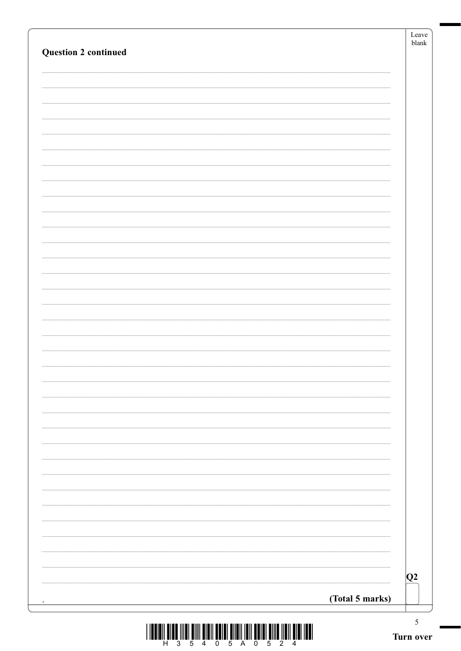|                             | Leave<br>${\tt blank}$ |
|-----------------------------|------------------------|
| <b>Question 2 continued</b> |                        |
|                             |                        |
|                             |                        |
|                             |                        |
|                             |                        |
|                             |                        |
|                             |                        |
|                             |                        |
|                             |                        |
|                             |                        |
|                             |                        |
|                             |                        |
|                             |                        |
|                             |                        |
|                             |                        |
|                             |                        |
|                             |                        |
|                             |                        |
|                             |                        |
|                             |                        |
|                             |                        |
|                             |                        |
|                             |                        |
|                             |                        |
|                             |                        |
|                             |                        |
|                             | Q2                     |
| (Total 5 marks)             |                        |
| ٠                           | $\mathfrak{S}$         |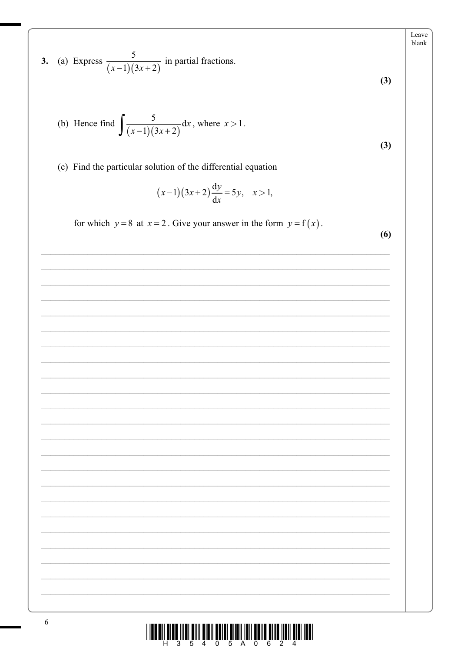3. (a) Express 
$$
\frac{5}{(x-1)(3x+2)}
$$
 in partial fractions.  
\n(b) Hence find  $\int \frac{5}{(x-1)(3x+2)} dx$ , where  $x > 1$ .  
\n(c) Find the particular solution of the differential equation  
\n $(x-1)(3x+2)\frac{dy}{dx} = 5y$ ,  $x > 1$ ,  
\nfor which  $y = 8$  at  $x = 2$ . Give your answer in the form  $y = f(x)$ .  
\n(6)

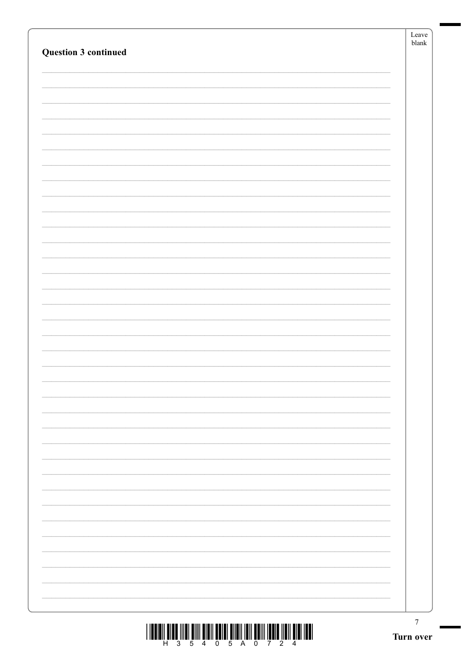|                             | Leave<br>${\sf blank}$ |
|-----------------------------|------------------------|
| <b>Question 3 continued</b> |                        |
|                             |                        |
|                             |                        |
|                             |                        |
|                             |                        |
|                             |                        |
|                             |                        |
|                             |                        |
|                             |                        |
|                             |                        |
|                             |                        |
|                             |                        |
|                             |                        |
|                             |                        |
|                             |                        |
|                             |                        |
|                             |                        |
|                             |                        |
|                             |                        |
|                             |                        |
|                             |                        |
|                             |                        |
|                             |                        |
|                             |                        |
|                             |                        |
|                             |                        |
|                             |                        |
|                             |                        |
|                             |                        |
|                             |                        |
|                             |                        |
|                             |                        |
|                             |                        |
|                             |                        |
|                             |                        |
|                             |                        |
|                             | $\tau$                 |

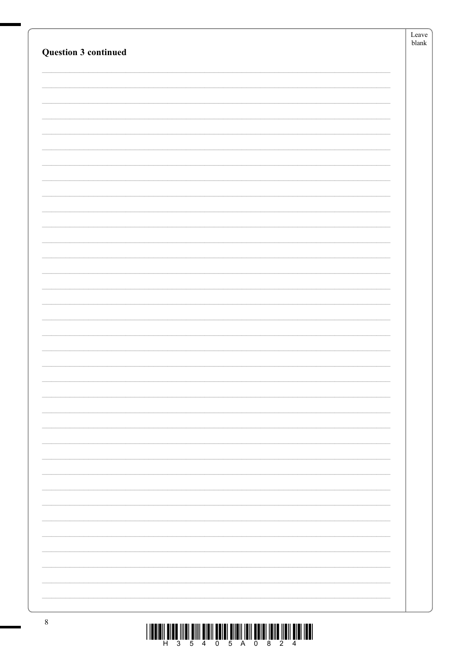|                             | Leave         |
|-----------------------------|---------------|
|                             | ${\tt blank}$ |
| <b>Question 3 continued</b> |               |
|                             |               |
|                             |               |
|                             |               |
|                             |               |
|                             |               |
|                             |               |
|                             |               |
|                             |               |
|                             |               |
|                             |               |
|                             |               |
|                             |               |
|                             |               |
|                             |               |
|                             |               |
|                             |               |
|                             |               |
|                             |               |
|                             |               |
|                             |               |
|                             |               |
|                             |               |
|                             |               |
|                             |               |
|                             |               |
|                             |               |
|                             |               |
|                             |               |
|                             |               |
|                             |               |
|                             |               |
|                             |               |
|                             |               |
|                             |               |
|                             |               |
|                             |               |
|                             |               |
|                             |               |
|                             |               |
|                             |               |
|                             |               |
|                             |               |
|                             |               |
|                             |               |
|                             |               |
|                             |               |
|                             |               |
|                             |               |
|                             |               |
|                             |               |
|                             |               |
|                             |               |
|                             |               |
|                             |               |
|                             |               |

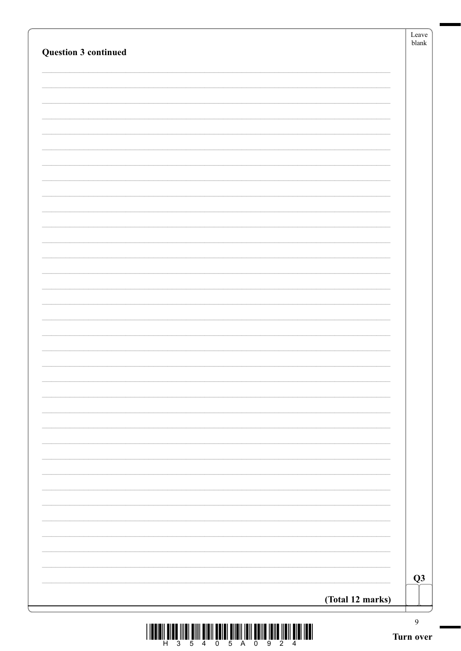|                             |                  | Leave<br>$b$ lank |
|-----------------------------|------------------|-------------------|
| <b>Question 3 continued</b> |                  |                   |
|                             |                  |                   |
|                             |                  |                   |
|                             |                  |                   |
|                             |                  |                   |
|                             |                  |                   |
|                             |                  |                   |
|                             |                  |                   |
|                             |                  |                   |
|                             |                  |                   |
|                             |                  |                   |
|                             |                  |                   |
|                             |                  |                   |
|                             |                  |                   |
|                             |                  |                   |
|                             |                  |                   |
|                             |                  |                   |
|                             |                  |                   |
|                             |                  |                   |
|                             |                  |                   |
|                             |                  |                   |
|                             |                  |                   |
|                             |                  |                   |
|                             |                  |                   |
|                             |                  |                   |
|                             |                  |                   |
|                             |                  |                   |
|                             |                  |                   |
|                             |                  |                   |
|                             |                  | Q3                |
|                             | (Total 12 marks) |                   |
|                             |                  | 9                 |
|                             |                  | Turn over         |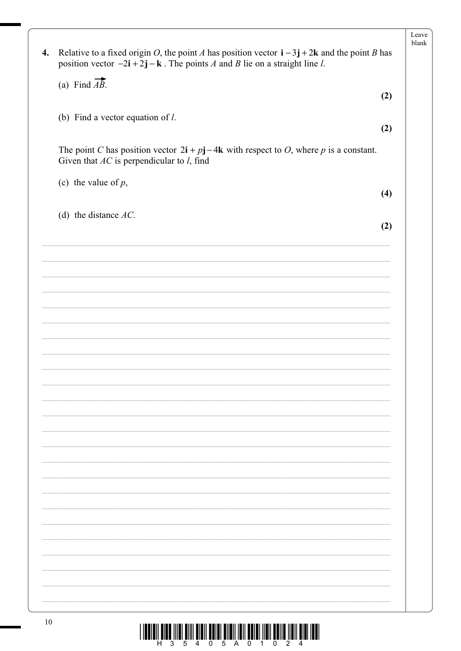| 4. | Relative to a fixed origin O, the point A has position vector $\mathbf{i} - 3\mathbf{j} + 2\mathbf{k}$ and the point B has<br>position vector $-2\mathbf{i} + 2\mathbf{j} - \mathbf{k}$ . The points A and B lie on a straight line l. |     |
|----|----------------------------------------------------------------------------------------------------------------------------------------------------------------------------------------------------------------------------------------|-----|
|    | (a) Find $\overrightarrow{AB}$ .                                                                                                                                                                                                       |     |
|    |                                                                                                                                                                                                                                        | (2) |
|    |                                                                                                                                                                                                                                        |     |
|    | (b) Find a vector equation of $l$ .                                                                                                                                                                                                    |     |
|    |                                                                                                                                                                                                                                        | (2) |
|    | The point C has position vector $2\mathbf{i} + p\mathbf{j} - 4\mathbf{k}$ with respect to O, where p is a constant.<br>Given that $AC$ is perpendicular to $l$ , find                                                                  |     |
|    | (c) the value of $p$ ,                                                                                                                                                                                                                 |     |
|    |                                                                                                                                                                                                                                        | (4) |
|    |                                                                                                                                                                                                                                        |     |
|    | (d) the distance $AC$ .                                                                                                                                                                                                                | (2) |
|    |                                                                                                                                                                                                                                        |     |
|    |                                                                                                                                                                                                                                        |     |
|    |                                                                                                                                                                                                                                        |     |
|    |                                                                                                                                                                                                                                        |     |
|    |                                                                                                                                                                                                                                        |     |
|    |                                                                                                                                                                                                                                        |     |
|    |                                                                                                                                                                                                                                        |     |
|    |                                                                                                                                                                                                                                        |     |
|    |                                                                                                                                                                                                                                        |     |
|    |                                                                                                                                                                                                                                        |     |
|    |                                                                                                                                                                                                                                        |     |
|    |                                                                                                                                                                                                                                        |     |
|    |                                                                                                                                                                                                                                        |     |
|    |                                                                                                                                                                                                                                        |     |
|    |                                                                                                                                                                                                                                        |     |
|    |                                                                                                                                                                                                                                        |     |
|    |                                                                                                                                                                                                                                        |     |
|    |                                                                                                                                                                                                                                        |     |
|    |                                                                                                                                                                                                                                        |     |
|    |                                                                                                                                                                                                                                        |     |
|    |                                                                                                                                                                                                                                        |     |
|    |                                                                                                                                                                                                                                        |     |
|    |                                                                                                                                                                                                                                        |     |
|    |                                                                                                                                                                                                                                        |     |
|    |                                                                                                                                                                                                                                        |     |
|    |                                                                                                                                                                                                                                        |     |
|    |                                                                                                                                                                                                                                        |     |
|    |                                                                                                                                                                                                                                        |     |
|    |                                                                                                                                                                                                                                        |     |

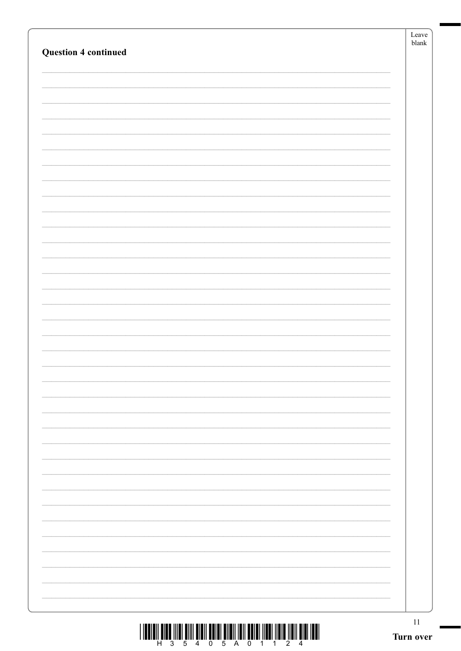| <b>Question 4 continued</b>                                                                                                                                                                                                                                                                                                                                                                                                                                   | Leave<br>${\tt blank}$ |
|---------------------------------------------------------------------------------------------------------------------------------------------------------------------------------------------------------------------------------------------------------------------------------------------------------------------------------------------------------------------------------------------------------------------------------------------------------------|------------------------|
|                                                                                                                                                                                                                                                                                                                                                                                                                                                               |                        |
|                                                                                                                                                                                                                                                                                                                                                                                                                                                               |                        |
|                                                                                                                                                                                                                                                                                                                                                                                                                                                               |                        |
|                                                                                                                                                                                                                                                                                                                                                                                                                                                               |                        |
|                                                                                                                                                                                                                                                                                                                                                                                                                                                               |                        |
|                                                                                                                                                                                                                                                                                                                                                                                                                                                               |                        |
|                                                                                                                                                                                                                                                                                                                                                                                                                                                               |                        |
|                                                                                                                                                                                                                                                                                                                                                                                                                                                               |                        |
|                                                                                                                                                                                                                                                                                                                                                                                                                                                               |                        |
|                                                                                                                                                                                                                                                                                                                                                                                                                                                               |                        |
|                                                                                                                                                                                                                                                                                                                                                                                                                                                               |                        |
|                                                                                                                                                                                                                                                                                                                                                                                                                                                               |                        |
|                                                                                                                                                                                                                                                                                                                                                                                                                                                               |                        |
|                                                                                                                                                                                                                                                                                                                                                                                                                                                               |                        |
|                                                                                                                                                                                                                                                                                                                                                                                                                                                               |                        |
|                                                                                                                                                                                                                                                                                                                                                                                                                                                               |                        |
|                                                                                                                                                                                                                                                                                                                                                                                                                                                               |                        |
|                                                                                                                                                                                                                                                                                                                                                                                                                                                               |                        |
|                                                                                                                                                                                                                                                                                                                                                                                                                                                               |                        |
|                                                                                                                                                                                                                                                                                                                                                                                                                                                               |                        |
|                                                                                                                                                                                                                                                                                                                                                                                                                                                               |                        |
|                                                                                                                                                                                                                                                                                                                                                                                                                                                               |                        |
|                                                                                                                                                                                                                                                                                                                                                                                                                                                               |                        |
|                                                                                                                                                                                                                                                                                                                                                                                                                                                               |                        |
|                                                                                                                                                                                                                                                                                                                                                                                                                                                               |                        |
|                                                                                                                                                                                                                                                                                                                                                                                                                                                               | 11                     |
| $\textstyle\frac{1}{2}\cdot\frac{1}{2}\cdot\frac{1}{2}\cdot\frac{1}{2}\cdot\frac{1}{2}\cdot\frac{1}{2}\cdot\frac{1}{2}\cdot\frac{1}{2}\cdot\frac{1}{2}\cdot\frac{1}{2}\cdot\frac{1}{2}\cdot\frac{1}{2}\cdot\frac{1}{2}\cdot\frac{1}{2}\cdot\frac{1}{2}\cdot\frac{1}{2}\cdot\frac{1}{2}\cdot\frac{1}{2}\cdot\frac{1}{2}\cdot\frac{1}{2}\cdot\frac{1}{2}\cdot\frac{1}{2}\cdot\frac{1}{2}\cdot\frac{1}{2}\cdot\frac{1}{2}\cdot\frac{1}{2}\cdot\frac{1}{2}\cdot\$ | Turn over              |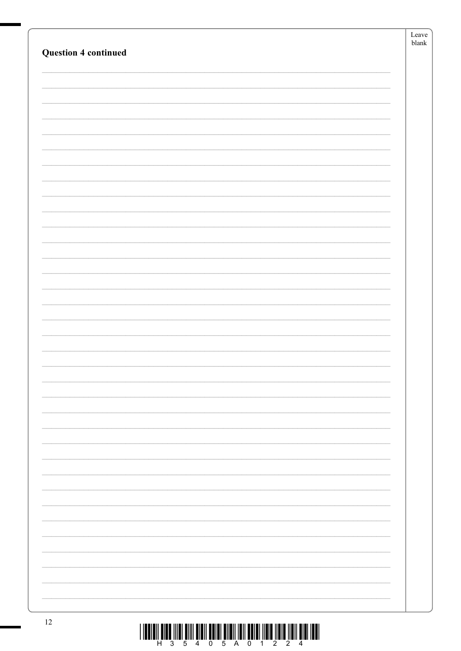|                             | Leave<br>${\tt blank}$ |
|-----------------------------|------------------------|
| <b>Question 4 continued</b> |                        |
|                             |                        |
|                             |                        |
|                             |                        |
|                             |                        |
|                             |                        |
|                             |                        |
|                             |                        |
|                             |                        |
|                             |                        |
|                             |                        |
|                             |                        |
|                             |                        |
|                             |                        |
|                             |                        |
|                             |                        |
|                             |                        |
|                             |                        |
|                             |                        |
|                             |                        |
|                             |                        |
|                             |                        |
|                             |                        |
|                             |                        |
|                             |                        |
|                             |                        |
|                             |                        |
|                             |                        |
|                             |                        |
|                             |                        |
|                             |                        |
|                             |                        |
|                             |                        |
|                             |                        |
|                             |                        |
|                             |                        |
|                             |                        |
|                             |                        |
|                             |                        |
| 12                          |                        |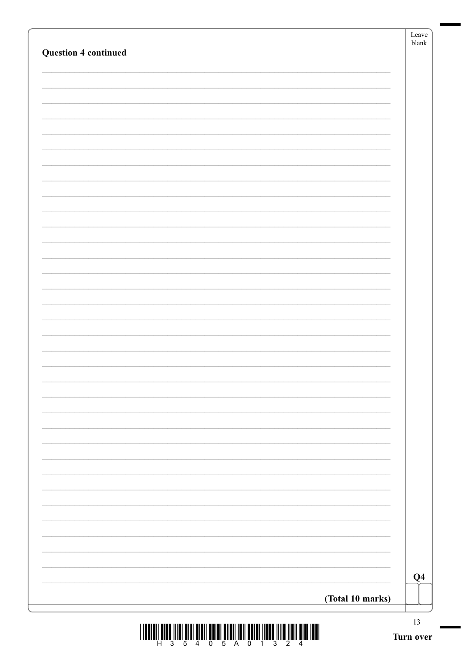| <b>Question 4 continued</b> |                  | Leave<br>${\tt blank}$ |
|-----------------------------|------------------|------------------------|
|                             |                  |                        |
|                             |                  |                        |
|                             |                  |                        |
|                             |                  |                        |
|                             |                  |                        |
|                             |                  |                        |
|                             |                  |                        |
|                             |                  |                        |
|                             |                  |                        |
|                             |                  |                        |
|                             |                  |                        |
|                             |                  |                        |
|                             |                  |                        |
|                             |                  |                        |
|                             |                  |                        |
|                             |                  |                        |
|                             |                  |                        |
|                             |                  |                        |
|                             |                  |                        |
|                             |                  |                        |
|                             |                  |                        |
|                             |                  |                        |
|                             |                  |                        |
|                             |                  |                        |
|                             |                  |                        |
|                             |                  |                        |
|                             |                  |                        |
|                             |                  |                        |
|                             |                  |                        |
|                             |                  |                        |
|                             |                  |                        |
|                             |                  | $\bf Q4$               |
|                             | (Total 10 marks) |                        |
|                             |                  |                        |

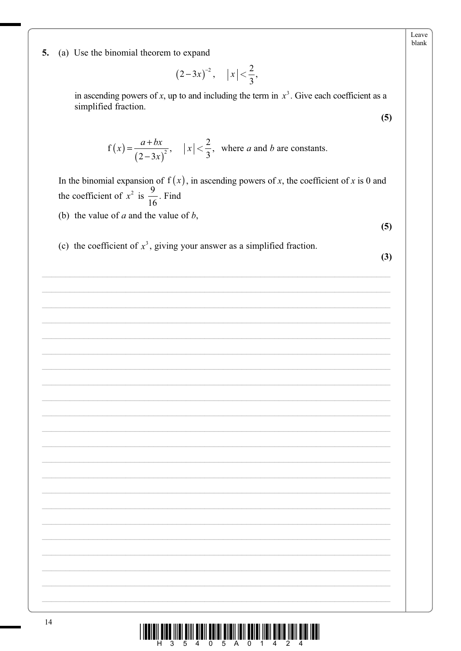Leave blank

5. (a) Use the binomial theorem to expand

$$
(2-3x)^{-2}
$$
,  $|x| < \frac{2}{3}$ ,

in ascending powers of x, up to and including the term in  $x<sup>3</sup>$ . Give each coefficient as a simplified fraction.

$$
f(x) = \frac{a+bx}{(2-3x)^2}
$$
,  $|x| < \frac{2}{3}$ , where *a* and *b* are constants.

In the binomial expansion of  $f(x)$ , in ascending powers of x, the coefficient of x is 0 and the coefficient of  $x^2$  is  $\frac{9}{16}$ . Find

(b) the value of  $a$  and the value of  $b$ ,

 $(5)$ 

 $(5)$ 

(c) the coefficient of  $x^3$ , giving your answer as a simplified fraction.

 $(3)$ 

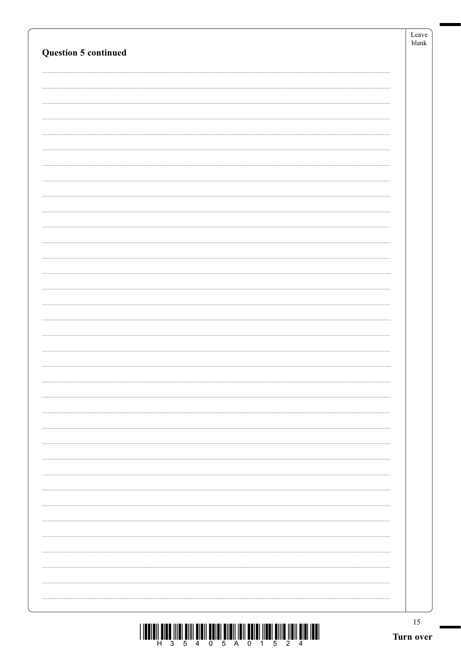| <b>Question 5 continued</b> | Leave<br>${\tt blank}$ |
|-----------------------------|------------------------|
|                             |                        |
|                             |                        |
|                             |                        |
|                             |                        |
|                             |                        |
|                             |                        |
|                             |                        |
|                             |                        |
|                             |                        |
|                             |                        |
|                             |                        |
|                             |                        |
|                             |                        |
|                             |                        |
|                             |                        |
|                             |                        |
|                             |                        |
|                             |                        |
|                             |                        |
|                             |                        |
|                             |                        |
|                             |                        |
|                             |                        |
|                             |                        |
|                             | 15<br>Turn over        |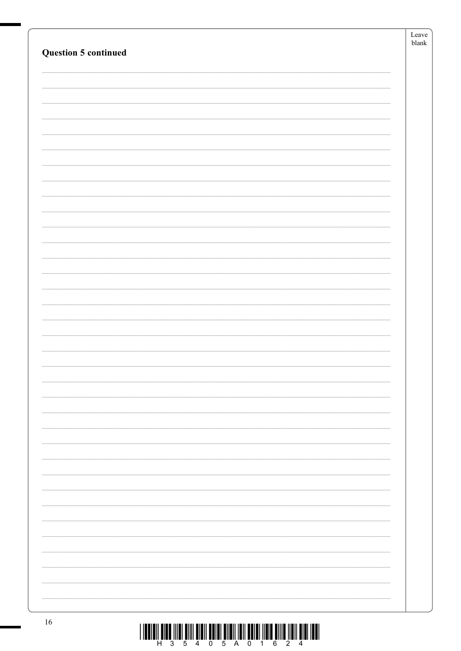|                      | Leave<br>${\tt blank}$ |
|----------------------|------------------------|
| Question 5 continued |                        |
|                      |                        |
|                      |                        |
|                      |                        |
|                      |                        |
|                      |                        |
|                      |                        |
|                      |                        |
|                      |                        |
|                      |                        |
|                      |                        |
|                      |                        |
|                      |                        |
|                      |                        |
|                      |                        |
|                      |                        |
|                      |                        |
|                      |                        |
|                      |                        |
|                      |                        |
|                      |                        |
|                      |                        |
|                      |                        |
|                      |                        |
|                      |                        |
|                      |                        |
|                      |                        |
|                      |                        |
|                      |                        |
|                      |                        |
| 16                   |                        |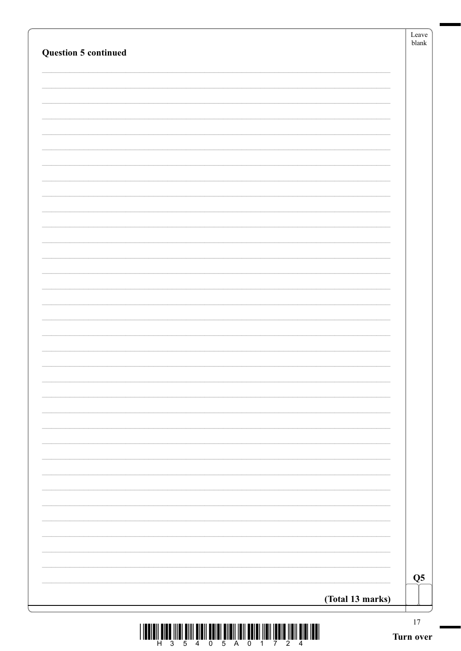| <b>Question 5 continued</b> |                        |
|-----------------------------|------------------------|
|                             |                        |
|                             |                        |
|                             |                        |
|                             |                        |
|                             |                        |
|                             |                        |
|                             |                        |
|                             |                        |
|                             |                        |
|                             |                        |
|                             |                        |
|                             |                        |
|                             |                        |
|                             |                        |
|                             |                        |
|                             |                        |
|                             |                        |
|                             |                        |
|                             |                        |
|                             |                        |
|                             |                        |
|                             |                        |
|                             |                        |
|                             | $\overline{\text{Q5}}$ |

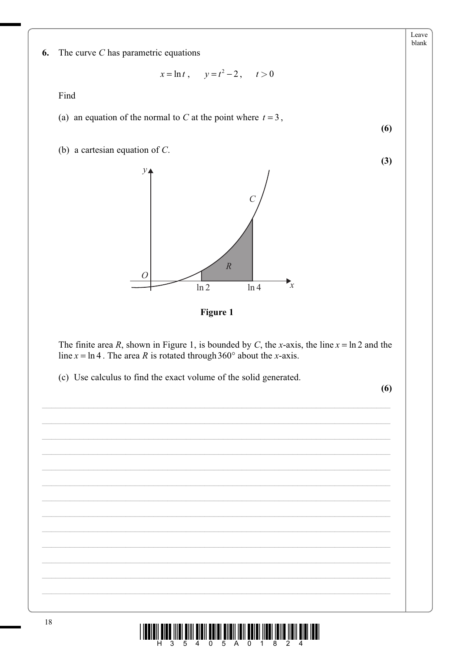Leave blank

 $(6)$ 

 $(3)$ 

6. The curve  $C$  has parametric equations

$$
x = \ln t
$$
,  $y = t^2 - 2$ ,  $t > 0$ 

Find

(a) an equation of the normal to C at the point where  $t = 3$ ,

(b) a cartesian equation of  $C$ .



Figure 1

The finite area R, shown in Figure 1, is bounded by C, the x-axis, the line  $x = \ln 2$  and the line  $x = \ln 4$ . The area R is rotated through 360° about the x-axis.

(c) Use calculus to find the exact volume of the solid generated.

 $(6)$ 

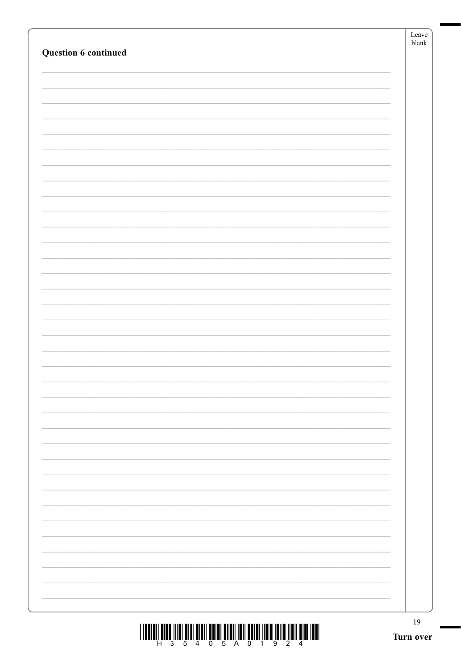|                                                                               | Leave<br>blank |
|-------------------------------------------------------------------------------|----------------|
| Question 6 continued                                                          |                |
|                                                                               |                |
|                                                                               |                |
|                                                                               |                |
|                                                                               |                |
|                                                                               |                |
|                                                                               |                |
|                                                                               |                |
|                                                                               |                |
|                                                                               |                |
|                                                                               |                |
|                                                                               |                |
|                                                                               |                |
|                                                                               |                |
|                                                                               |                |
|                                                                               |                |
|                                                                               |                |
|                                                                               |                |
|                                                                               |                |
|                                                                               |                |
|                                                                               |                |
|                                                                               |                |
|                                                                               |                |
|                                                                               |                |
|                                                                               |                |
|                                                                               |                |
|                                                                               |                |
|                                                                               |                |
|                                                                               |                |
|                                                                               |                |
|                                                                               |                |
|                                                                               |                |
|                                                                               |                |
|                                                                               |                |
|                                                                               |                |
|                                                                               |                |
|                                                                               |                |
|                                                                               | $19\,$         |
| I THE THE THE TIME WILL WILL BE THE TIME OF THE TIME THAT THE TIME TIME TIME. |                |

Ń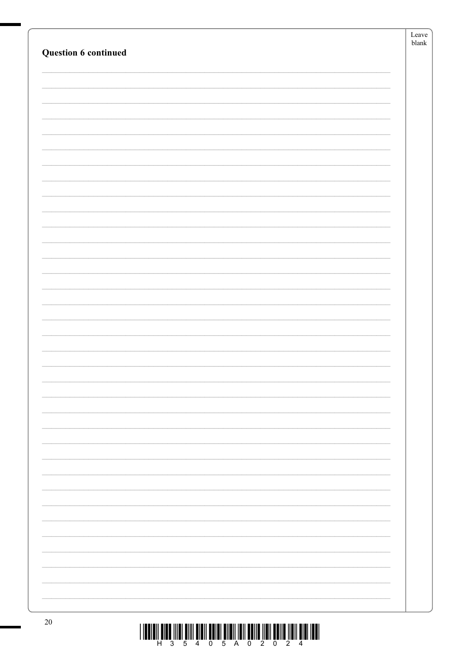|                             | $\operatorname{Leave}$<br>${\tt blank}$ |
|-----------------------------|-----------------------------------------|
| <b>Question 6 continued</b> |                                         |
|                             |                                         |
|                             |                                         |
|                             |                                         |
|                             |                                         |
|                             |                                         |
|                             |                                         |
|                             |                                         |
|                             |                                         |
|                             |                                         |
|                             |                                         |
|                             |                                         |
|                             |                                         |
|                             |                                         |
|                             |                                         |
|                             |                                         |
|                             |                                         |
|                             |                                         |
|                             |                                         |
|                             |                                         |
|                             |                                         |
|                             |                                         |
|                             |                                         |
|                             |                                         |
|                             |                                         |
|                             |                                         |
|                             |                                         |
|                             |                                         |
|                             |                                         |
|                             |                                         |
|                             |                                         |
|                             |                                         |
|                             |                                         |
|                             |                                         |
|                             |                                         |
|                             |                                         |
|                             |                                         |
| 20                          |                                         |

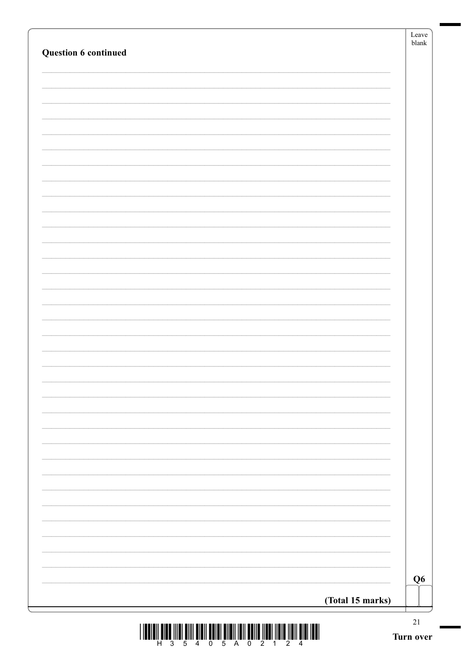| Question 6 continued |                  | blank |
|----------------------|------------------|-------|
|                      |                  |       |
|                      |                  |       |
|                      |                  |       |
|                      |                  |       |
|                      |                  |       |
|                      |                  |       |
|                      |                  |       |
|                      |                  |       |
|                      |                  |       |
|                      |                  |       |
|                      |                  |       |
|                      |                  |       |
|                      |                  |       |
|                      |                  |       |
|                      |                  |       |
|                      |                  |       |
|                      |                  |       |
|                      |                  |       |
|                      |                  |       |
|                      |                  |       |
|                      |                  |       |
|                      |                  |       |
|                      |                  |       |
|                      | (Total 15 marks) |       |

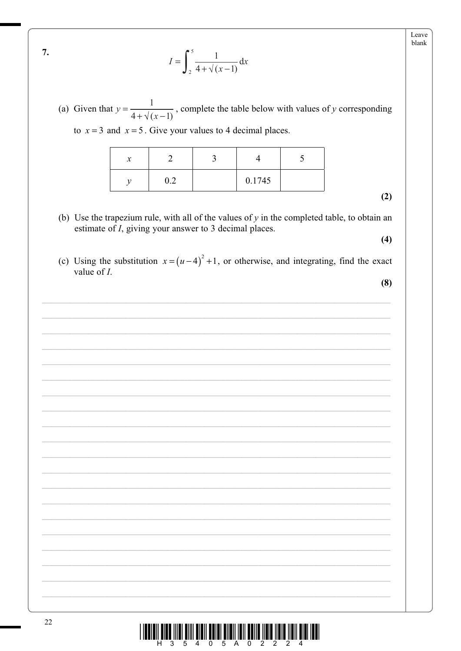Leave blank

$$
I = \int_2^5 \frac{1}{4 + \sqrt{(x - 1)}} \, \mathrm{d}x
$$

(a) Given that  $y = \frac{1}{4 + \sqrt{(x-1)}}$ , complete the table below with values of y corresponding to  $x = 3$  and  $x = 5$ . Give your values to 4 decimal places.

|  | 0.1745 |  |
|--|--------|--|

- $(2)$
- (b) Use the trapezium rule, with all of the values of  $y$  in the completed table, to obtain an estimate of *I*, giving your answer to 3 decimal places.  $(4)$
- (c) Using the substitution  $x = (u-4)^2 + 1$ , or otherwise, and integrating, find the exact value of  $I$ .

 $(8)$ 



7.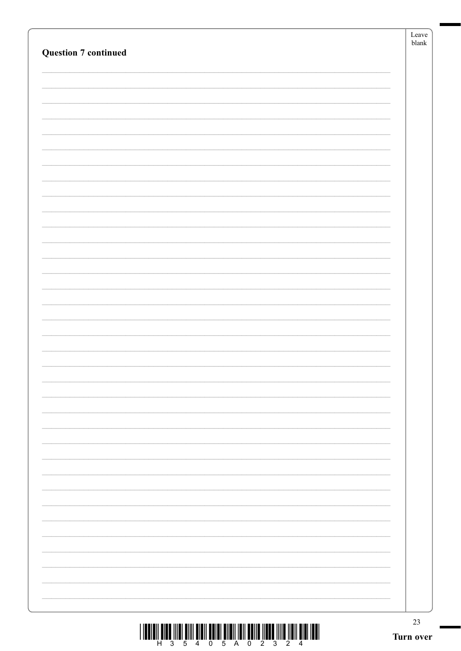| <b>Question 7 continued</b>                                                                                                                                                                                                                                                                                                                                                                                                      | Leave<br>${\tt blank}$ |
|----------------------------------------------------------------------------------------------------------------------------------------------------------------------------------------------------------------------------------------------------------------------------------------------------------------------------------------------------------------------------------------------------------------------------------|------------------------|
|                                                                                                                                                                                                                                                                                                                                                                                                                                  |                        |
|                                                                                                                                                                                                                                                                                                                                                                                                                                  |                        |
|                                                                                                                                                                                                                                                                                                                                                                                                                                  |                        |
|                                                                                                                                                                                                                                                                                                                                                                                                                                  |                        |
|                                                                                                                                                                                                                                                                                                                                                                                                                                  |                        |
|                                                                                                                                                                                                                                                                                                                                                                                                                                  |                        |
|                                                                                                                                                                                                                                                                                                                                                                                                                                  |                        |
|                                                                                                                                                                                                                                                                                                                                                                                                                                  |                        |
|                                                                                                                                                                                                                                                                                                                                                                                                                                  |                        |
|                                                                                                                                                                                                                                                                                                                                                                                                                                  |                        |
|                                                                                                                                                                                                                                                                                                                                                                                                                                  |                        |
|                                                                                                                                                                                                                                                                                                                                                                                                                                  |                        |
|                                                                                                                                                                                                                                                                                                                                                                                                                                  |                        |
|                                                                                                                                                                                                                                                                                                                                                                                                                                  |                        |
|                                                                                                                                                                                                                                                                                                                                                                                                                                  |                        |
|                                                                                                                                                                                                                                                                                                                                                                                                                                  |                        |
|                                                                                                                                                                                                                                                                                                                                                                                                                                  |                        |
|                                                                                                                                                                                                                                                                                                                                                                                                                                  |                        |
|                                                                                                                                                                                                                                                                                                                                                                                                                                  |                        |
|                                                                                                                                                                                                                                                                                                                                                                                                                                  |                        |
|                                                                                                                                                                                                                                                                                                                                                                                                                                  |                        |
|                                                                                                                                                                                                                                                                                                                                                                                                                                  |                        |
|                                                                                                                                                                                                                                                                                                                                                                                                                                  |                        |
|                                                                                                                                                                                                                                                                                                                                                                                                                                  |                        |
|                                                                                                                                                                                                                                                                                                                                                                                                                                  |                        |
|                                                                                                                                                                                                                                                                                                                                                                                                                                  |                        |
|                                                                                                                                                                                                                                                                                                                                                                                                                                  |                        |
|                                                                                                                                                                                                                                                                                                                                                                                                                                  |                        |
|                                                                                                                                                                                                                                                                                                                                                                                                                                  |                        |
|                                                                                                                                                                                                                                                                                                                                                                                                                                  | 23                     |
| $\begin{array}{c} \textbf{1} & \textbf{1} & \textbf{1} & \textbf{1} & \textbf{1} & \textbf{1} & \textbf{1} & \textbf{1} & \textbf{1} & \textbf{1} & \textbf{1} & \textbf{1} & \textbf{1} & \textbf{1} & \textbf{1} & \textbf{1} & \textbf{1} & \textbf{1} & \textbf{1} & \textbf{1} & \textbf{1} & \textbf{1} & \textbf{1} & \textbf{1} & \textbf{1} & \textbf{1} & \textbf{1} & \textbf{1} & \textbf{1} & \textbf{1} & \textbf$ | Turn over              |